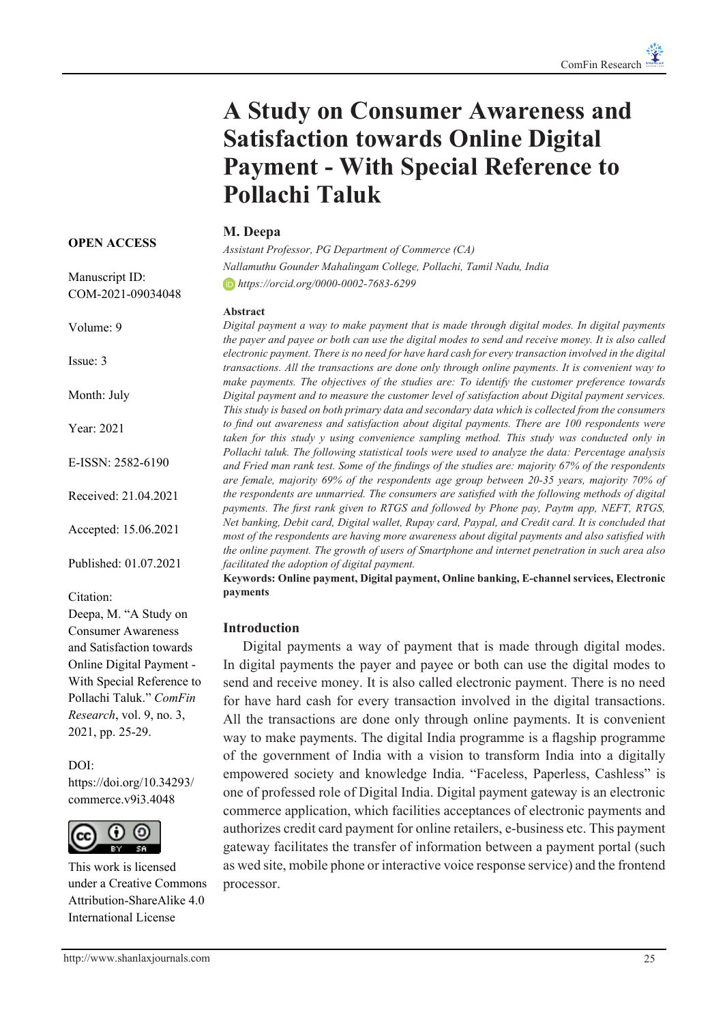# **A Study on Consumer Awareness and Satisfaction towards Online Digital Payment - With Special Reference to Pollachi Taluk**

# **M. Deepa**

*Assistant Professor, PG Department of Commerce (CA) Nallamuthu Gounder Mahalingam College, Pollachi, Tamil Nadu, India https://orcid.org/0000-0002-7683-6299*

#### **Abstract**

*Digital payment a way to make payment that is made through digital modes. In digital payments the payer and payee or both can use the digital modes to send and receive money. It is also called electronic payment. There is no need for have hard cash for every transaction involved in the digital transactions. All the transactions are done only through online payments. It is convenient way to make payments. The objectives of the studies are: To identify the customer preference towards Digital payment and to measure the customer level of satisfaction about Digital payment services. This study is based on both primary data and secondary data which is collected from the consumers to find out awareness and satisfaction about digital payments. There are 100 respondents were taken for this study y using convenience sampling method. This study was conducted only in Pollachi taluk. The following statistical tools were used to analyze the data: Percentage analysis and Fried man rank test. Some of the findings of the studies are: majority 67% of the respondents are female, majority 69% of the respondents age group between 20-35 years, majority 70% of the respondents are unmarried. The consumers are satisfied with the following methods of digital payments. The first rank given to RTGS and followed by Phone pay, Paytm app, NEFT, RTGS, Net banking, Debit card, Digital wallet, Rupay card, Paypal, and Credit card. It is concluded that most of the respondents are having more awareness about digital payments and also satisfied with the online payment. The growth of users of Smartphone and internet penetration in such area also facilitated the adoption of digital payment.*

**Keywords: Online payment, Digital payment, Online banking, E-channel services, Electronic payments**

#### **Introduction**

Digital payments a way of payment that is made through digital modes. In digital payments the payer and payee or both can use the digital modes to send and receive money. It is also called electronic payment. There is no need for have hard cash for every transaction involved in the digital transactions. All the transactions are done only through online payments. It is convenient way to make payments. The digital India programme is a flagship programme of the government of India with a vision to transform India into a digitally empowered society and knowledge India. "Faceless, Paperless, Cashless" is one of professed role of Digital India. Digital payment gateway is an electronic commerce application, which facilities acceptances of electronic payments and authorizes credit card payment for online retailers, e-business etc. This payment gateway facilitates the transfer of information between a payment portal (such as wed site, mobile phone or interactive voice response service) and the frontend processor.

#### **OPEN ACCESS**

Manuscript ID: COM-2021-09034048

Volume: 9

Issue: 3

Month: July

Year: 2021

E-ISSN: 2582-6190

Received: 21.04.2021

Accepted: 15.06.2021

Published: 01.07.2021

#### Citation:

Deepa, M. "A Study on Consumer Awareness and Satisfaction towards Online Digital Payment - With Special Reference to Pollachi Taluk." *ComFin Research*, vol. 9, no. 3, 2021, pp. 25-29.

DOI:

https://doi.org/10.34293/ commerce.v9i3.4048



This work is licensed under a Creative Commons Attribution-ShareAlike 4.0 International License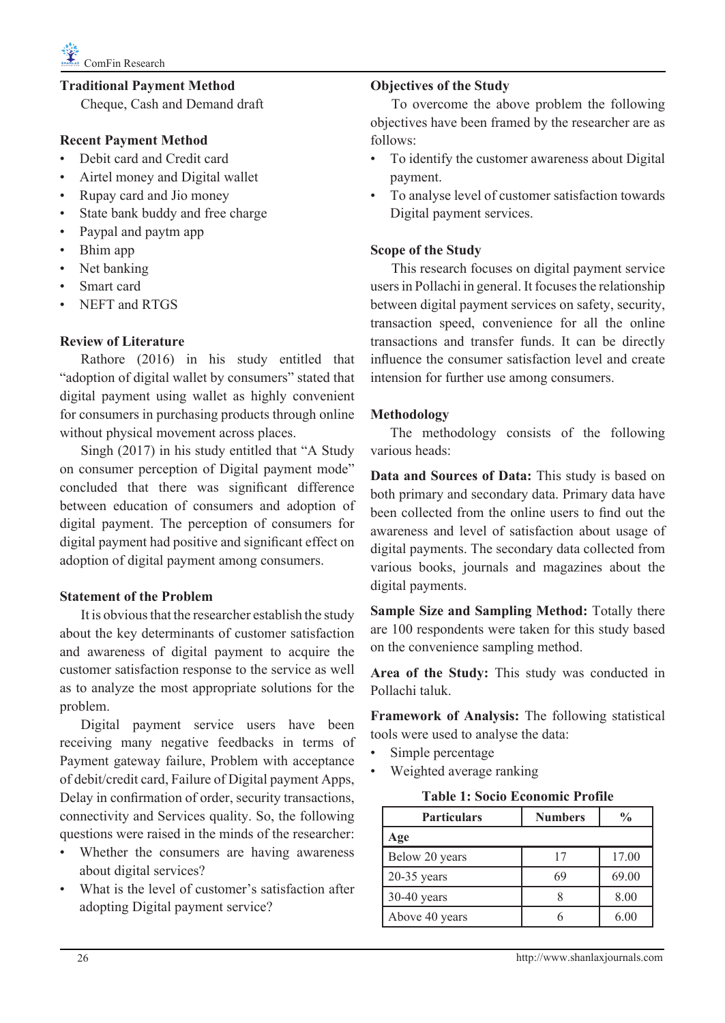# **Traditional Payment Method**

Cheque, Cash and Demand draft

# **Recent Payment Method**

- Debit card and Credit card
- Airtel money and Digital wallet
- Rupay card and Jio money
- State bank buddy and free charge
- Paypal and paytm app
- Bhim app
- Net banking
- Smart card
- NEFT and RTGS

## **Review of Literature**

Rathore (2016) in his study entitled that "adoption of digital wallet by consumers" stated that digital payment using wallet as highly convenient for consumers in purchasing products through online without physical movement across places.

Singh (2017) in his study entitled that "A Study on consumer perception of Digital payment mode" concluded that there was significant difference between education of consumers and adoption of digital payment. The perception of consumers for digital payment had positive and significant effect on adoption of digital payment among consumers.

#### **Statement of the Problem**

It is obvious that the researcher establish the study about the key determinants of customer satisfaction and awareness of digital payment to acquire the customer satisfaction response to the service as well as to analyze the most appropriate solutions for the problem.

Digital payment service users have been receiving many negative feedbacks in terms of Payment gateway failure, Problem with acceptance of debit/credit card, Failure of Digital payment Apps, Delay in confirmation of order, security transactions, connectivity and Services quality. So, the following questions were raised in the minds of the researcher:

- Whether the consumers are having awareness about digital services?
- What is the level of customer's satisfaction after adopting Digital payment service?

## **Objectives of the Study**

To overcome the above problem the following objectives have been framed by the researcher are as follows:

- To identify the customer awareness about Digital payment.
- To analyse level of customer satisfaction towards Digital payment services.

## **Scope of the Study**

This research focuses on digital payment service users in Pollachi in general. It focuses the relationship between digital payment services on safety, security, transaction speed, convenience for all the online transactions and transfer funds. It can be directly influence the consumer satisfaction level and create intension for further use among consumers.

## **Methodology**

The methodology consists of the following various heads:

**Data and Sources of Data:** This study is based on both primary and secondary data. Primary data have been collected from the online users to find out the awareness and level of satisfaction about usage of digital payments. The secondary data collected from various books, journals and magazines about the digital payments.

**Sample Size and Sampling Method:** Totally there are 100 respondents were taken for this study based on the convenience sampling method.

**Area of the Study:** This study was conducted in Pollachi taluk.

**Framework of Analysis:** The following statistical tools were used to analyse the data:

- Simple percentage
- Weighted average ranking

#### **Table 1: Socio Economic Profile**

| <b>Particulars</b> | <b>Numbers</b> | $\frac{0}{0}$ |
|--------------------|----------------|---------------|
| Age                |                |               |
| Below 20 years     | 17             | 17.00         |
| 20-35 years        | 69             | 69.00         |
| $30-40$ years      |                | 8.00          |
| Above 40 years     |                | 6.00          |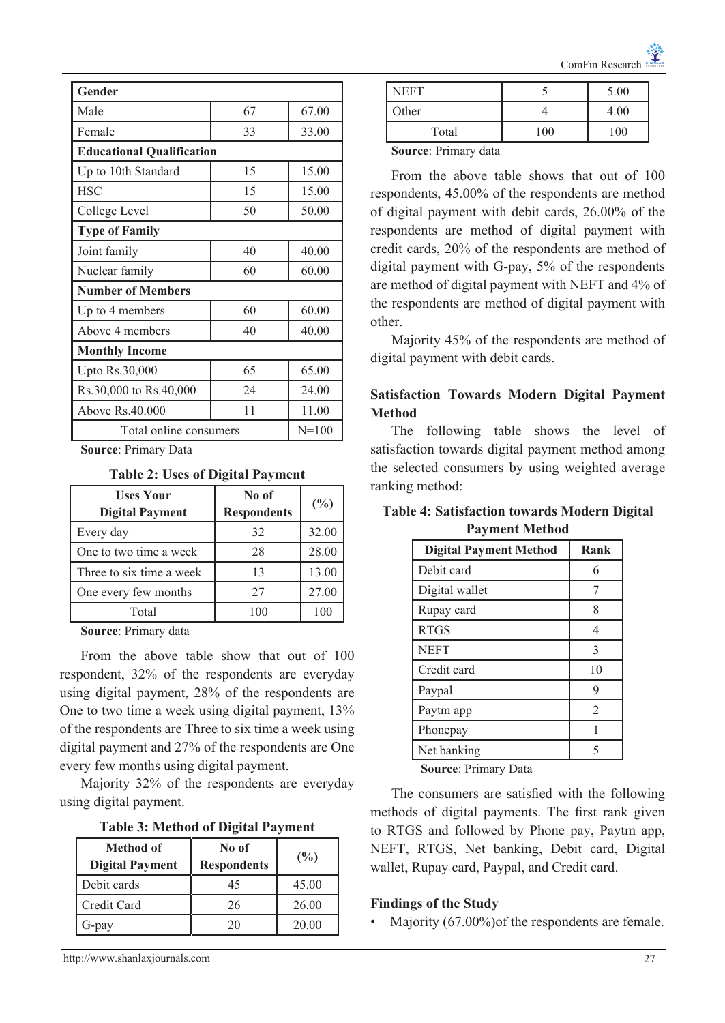| Gender                           |       |           |  |
|----------------------------------|-------|-----------|--|
| Male                             | 67    | 67.00     |  |
| Female                           | 33    | 33.00     |  |
| <b>Educational Qualification</b> |       |           |  |
| Up to 10th Standard              | 15    | 15.00     |  |
| <b>HSC</b>                       | 15    | 15.00     |  |
| College Level                    | 50.00 |           |  |
| <b>Type of Family</b>            |       |           |  |
| Joint family                     | 40    | 40.00     |  |
| Nuclear family                   | 60    | 60.00     |  |
| <b>Number of Members</b>         |       |           |  |
| Up to 4 members                  | 60    | 60.00     |  |
| Above 4 members                  | 40.00 |           |  |
| <b>Monthly Income</b>            |       |           |  |
| Upto Rs.30,000                   | 65    | 65.00     |  |
| Rs.30,000 to Rs.40,000           | 24    | 24.00     |  |
| Above Rs.40,000                  | 11    | 11.00     |  |
| Total online consumers           |       | $N = 100$ |  |

**Source**: Primary Data

**Table 2: Uses of Digital Payment**

| <b>Uses Your</b><br><b>Digital Payment</b> | No of<br><b>Respondents</b> | $(\%)$ |
|--------------------------------------------|-----------------------------|--------|
| Every day                                  | 32                          | 32.00  |
| One to two time a week                     | 28                          | 28.00  |
| Three to six time a week                   | 13                          | 13.00  |
| One every few months                       | 27                          | 27.00  |
| Total                                      | 100                         | 100    |

**Source**: Primary data

From the above table show that out of 100 respondent, 32% of the respondents are everyday using digital payment, 28% of the respondents are One to two time a week using digital payment, 13% of the respondents are Three to six time a week using digital payment and 27% of the respondents are One every few months using digital payment.

Majority 32% of the respondents are everyday using digital payment.

|  |  |  | <b>Table 3: Method of Digital Payment</b> |  |
|--|--|--|-------------------------------------------|--|
|--|--|--|-------------------------------------------|--|

| Method of<br><b>Digital Payment</b> | No of<br><b>Respondents</b> | $(\%)$ |
|-------------------------------------|-----------------------------|--------|
| Debit cards                         | 45                          | 45.00  |
| Credit Card                         | 26                          | 26.00  |
| 5-pay                               | 20                          | 20.00  |

| NEFT  |     | 5.00 |
|-------|-----|------|
| Other |     | 4.00 |
| Total | 100 | 100  |

**Source**: Primary data

From the above table shows that out of 100 respondents, 45.00% of the respondents are method of digital payment with debit cards, 26.00% of the respondents are method of digital payment with credit cards, 20% of the respondents are method of digital payment with G-pay, 5% of the respondents are method of digital payment with NEFT and 4% of the respondents are method of digital payment with other.

Majority 45% of the respondents are method of digital payment with debit cards.

# **Satisfaction Towards Modern Digital Payment Method**

The following table shows the level of satisfaction towards digital payment method among the selected consumers by using weighted average ranking method:

| <b>Table 4: Satisfaction towards Modern Digital</b> |                       |  |
|-----------------------------------------------------|-----------------------|--|
|                                                     | <b>Payment Method</b> |  |

| Rank           |
|----------------|
| 6              |
|                |
| 8              |
| 4              |
| $\mathcal{E}$  |
| 10             |
| 9              |
| $\overline{2}$ |
|                |
| 5              |
|                |

**Source**: Primary Data

The consumers are satisfied with the following methods of digital payments. The first rank given to RTGS and followed by Phone pay, Paytm app, NEFT, RTGS, Net banking, Debit card, Digital wallet, Rupay card, Paypal, and Credit card.

#### **Findings of the Study**

Majority (67.00%) of the respondents are female.

http://www.shanlaxjournals.com 27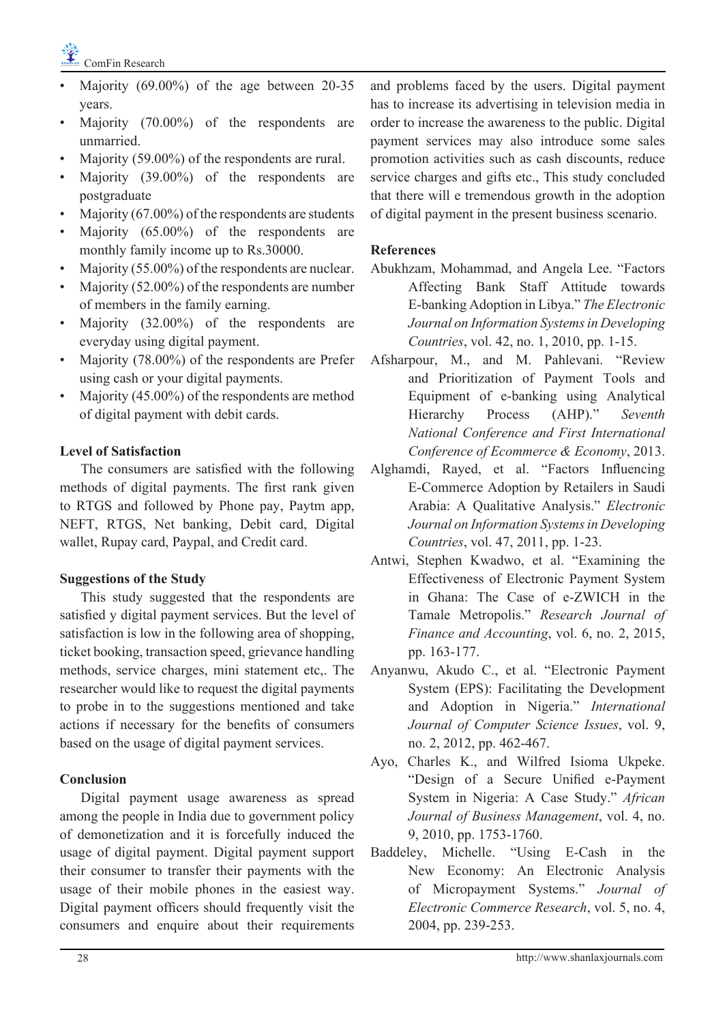

- Majority (69.00%) of the age between 20-35 years.
- Majority (70.00%) of the respondents are unmarried.
- Majority (59.00%) of the respondents are rural.
- Majority (39.00%) of the respondents are postgraduate
- Majority  $(67.00\%)$  of the respondents are students
- Majority (65.00%) of the respondents are monthly family income up to Rs.30000.
- Majority (55.00%) of the respondents are nuclear.
- Majority (52.00%) of the respondents are number of members in the family earning.
- Majority (32.00%) of the respondents are everyday using digital payment.
- Majority (78.00%) of the respondents are Prefer using cash or your digital payments.
- Majority (45.00%) of the respondents are method of digital payment with debit cards.

# **Level of Satisfaction**

The consumers are satisfied with the following methods of digital payments. The first rank given to RTGS and followed by Phone pay, Paytm app, NEFT, RTGS, Net banking, Debit card, Digital wallet, Rupay card, Paypal, and Credit card.

#### **Suggestions of the Study**

This study suggested that the respondents are satisfied y digital payment services. But the level of satisfaction is low in the following area of shopping, ticket booking, transaction speed, grievance handling methods, service charges, mini statement etc,. The researcher would like to request the digital payments to probe in to the suggestions mentioned and take actions if necessary for the benefits of consumers based on the usage of digital payment services.

# **Conclusion**

Digital payment usage awareness as spread among the people in India due to government policy of demonetization and it is forcefully induced the usage of digital payment. Digital payment support their consumer to transfer their payments with the usage of their mobile phones in the easiest way. Digital payment officers should frequently visit the consumers and enquire about their requirements

and problems faced by the users. Digital payment has to increase its advertising in television media in order to increase the awareness to the public. Digital payment services may also introduce some sales promotion activities such as cash discounts, reduce service charges and gifts etc., This study concluded that there will e tremendous growth in the adoption of digital payment in the present business scenario.

## **References**

- Abukhzam, Mohammad, and Angela Lee. "Factors Affecting Bank Staff Attitude towards E-banking Adoption in Libya." *The Electronic Journal on Information Systems in Developing Countries*, vol. 42, no. 1, 2010, pp. 1-15.
- Afsharpour, M., and M. Pahlevani. "Review and Prioritization of Payment Tools and Equipment of e-banking using Analytical Hierarchy Process (AHP)." *Seventh National Conference and First International Conference of Ecommerce & Economy*, 2013.
- Alghamdi, Rayed, et al. "Factors Influencing E-Commerce Adoption by Retailers in Saudi Arabia: A Qualitative Analysis." *Electronic Journal on Information Systems in Developing Countries*, vol. 47, 2011, pp. 1-23.
- Antwi, Stephen Kwadwo, et al. "Examining the Effectiveness of Electronic Payment System in Ghana: The Case of e-ZWICH in the Tamale Metropolis." *Research Journal of Finance and Accounting*, vol. 6, no. 2, 2015, pp. 163-177.
- Anyanwu, Akudo C., et al. "Electronic Payment System (EPS): Facilitating the Development and Adoption in Nigeria." *International Journal of Computer Science Issues*, vol. 9, no. 2, 2012, pp. 462-467.
- Ayo, Charles K., and Wilfred Isioma Ukpeke. "Design of a Secure Unified e-Payment System in Nigeria: A Case Study." *African Journal of Business Management*, vol. 4, no. 9, 2010, pp. 1753-1760.
- Baddeley, Michelle. "Using E-Cash in the New Economy: An Electronic Analysis of Micropayment Systems." *Journal of Electronic Commerce Research*, vol. 5, no. 4, 2004, pp. 239-253.